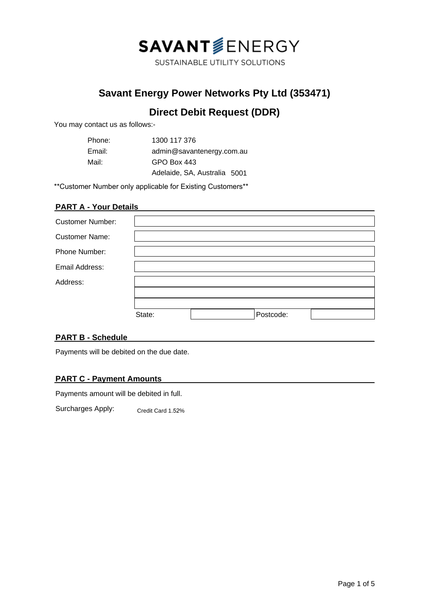

SUSTAINABLE UTILITY SOLUTIONS

## **Savant Energy Power Networks Pty Ltd (353471)**

# **Direct Debit Request (DDR)**

You may contact us as follows:-

| Phone: | 1300 117 376                 |
|--------|------------------------------|
| Email: | admin@savantenergy.com.au    |
| Mail:  | GPO Box 443                  |
|        | Adelaide, SA, Australia 5001 |

\*\*Customer Number only applicable for Existing Customers\*\*

## **PART A - Your Details**

| <b>Customer Number:</b> |        |           |  |
|-------------------------|--------|-----------|--|
| <b>Customer Name:</b>   |        |           |  |
| <b>Phone Number:</b>    |        |           |  |
| Email Address:          |        |           |  |
| Address:                |        |           |  |
|                         |        |           |  |
|                         |        |           |  |
|                         | State: | Postcode: |  |

### **PART B - Schedule**

Payments will be debited on the due date.

### **PART C - Payment Amounts**

Payments amount will be debited in full.

Surcharges Apply: Credit Card 1.52%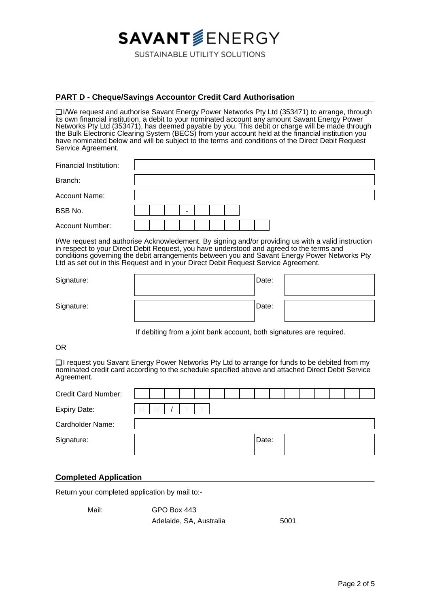# **SAVANT**SENERGY

SUSTAINABLE UTILITY SOLUTIONS

### **PART D - Cheque/Savings Accountor Credit Card Authorisation**

❏ I/We request and authorise Savant Energy Power Networks Pty Ltd (353471) to arrange, through its own financial institution, a debit to your nominated account any amount Savant Energy Power Networks Pty Ltd (353471), has deemed payable by you. This debit or charge will be made through the Bulk Electronic Clearing System (BECS) from your account held at the financial institution you have nominated below and will be subject to the terms and conditions of the Direct Debit Request Service Agreement.

| Financial Institution: |  |   |  |  |  |  |  |  |
|------------------------|--|---|--|--|--|--|--|--|
| Branch:                |  |   |  |  |  |  |  |  |
| <b>Account Name:</b>   |  |   |  |  |  |  |  |  |
| BSB No.                |  | - |  |  |  |  |  |  |
| Account Number:        |  |   |  |  |  |  |  |  |

I/We request and authorise Acknowledement. By signing and/or providing us with a valid instruction in respect to your Direct Debit Request, you have understood and agreed to the terms and conditions governing the debit arrangements between you and Savant Energy Power Networks Pty Ltd as set out in this Request and in your Direct Debit Request Service Agreement.

| Signature: | Date: |  |
|------------|-------|--|
| Signature: | Date: |  |

If debiting from a joint bank account, both signatures are required.

OR

❏ I request you Savant Energy Power Networks Pty Ltd to arrange for funds to be debited from my nominated credit card according to the schedule specified above and attached Direct Debit Service Agreement.

| <b>Credit Card Number:</b> |   |  |  |  |       |  |  |  |  |
|----------------------------|---|--|--|--|-------|--|--|--|--|
| <b>Expiry Date:</b>        | M |  |  |  |       |  |  |  |  |
| Cardholder Name:           |   |  |  |  |       |  |  |  |  |
| Signature:                 |   |  |  |  | Date: |  |  |  |  |
|                            |   |  |  |  |       |  |  |  |  |

#### **Completed Application**

Return your completed application by mail to:-

| Mail: | GPO Box 443             |      |
|-------|-------------------------|------|
|       | Adelaide, SA, Australia | 5001 |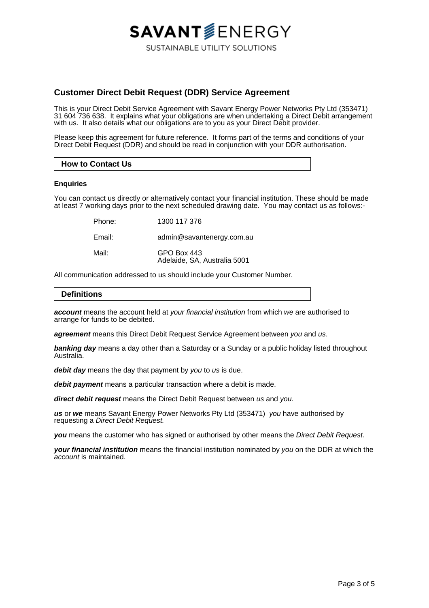## **Customer Direct Debit Request (DDR) Service Agreement**

This is your Direct Debit Service Agreement with Savant Energy Power Networks Pty Ltd (353471) 31 604 736 638. It explains what your obligations are when undertaking a Direct Debit arrangement with us. It also details what our obligations are to you as your Direct Debit provider.

**SAVANT**SENERGY

**SUSTAINABLE UTILITY SOLUTIONS** 

Please keep this agreement for future reference. It forms part of the terms and conditions of your Direct Debit Request (DDR) and should be read in conjunction with your DDR authorisation.

#### **How to Contact Us**

#### **Enquiries**

You can contact us directly or alternatively contact your financial institution. These should be made at least 7 working days prior to the next scheduled drawing date. You may contact us as follows:-

Phone: 1300 117 376

Email: admin@savantenergy.com.au

Mail: **GPO Box 443** Adelaide, SA, Australia 5001

All communication addressed to us should include your Customer Number.

#### **Definitions**

**account** means the account held at your financial institution from which we are authorised to arrange for funds to be debited.

**agreement** means this Direct Debit Request Service Agreement between you and us.

**banking day** means a day other than a Saturday or a Sunday or a public holiday listed throughout Australia.

**debit day** means the day that payment by you to us is due.

**debit payment** means a particular transaction where a debit is made.

**direct debit request** means the Direct Debit Request between us and you.

**us** or **we** means Savant Energy Power Networks Pty Ltd (353471) you have authorised by requesting a Direct Debit Request.

**you** means the customer who has signed or authorised by other means the Direct Debit Request.

**your financial institution** means the financial institution nominated by you on the DDR at which the account is maintained.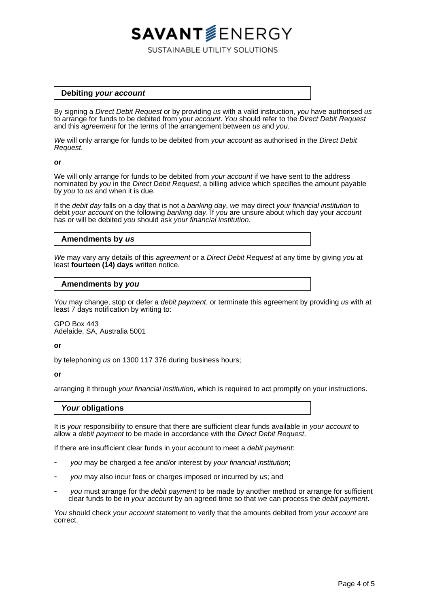#### **Debiting your account**

By signing a Direct Debit Request or by providing us with a valid instruction, you have authorised us to arrange for funds to be debited from your *account*. You should refer to the Direct Debit Request and this *agreement* for the terms of the arrangement between us and you.

**SAVANT**SENERGY

SUSTAINABLE UTILITY SOLUTIONS

We will only arrange for funds to be debited from your account as authorised in the Direct Debit Request.

#### **or**

We will only arrange for funds to be debited from your account if we have sent to the address nominated by you in the Direct Debit Request, a billing advice which specifies the amount payable by you to us and when it is due.

If the debit day falls on a day that is not a banking day, we may direct your financial institution to debit your account on the following banking day. If you are unsure about which day your account has or will be debited you should ask your financial institution.

#### **Amendments by us**

We may vary any details of this agreement or a Direct Debit Request at any time by giving you at least **fourteen (14) days** written notice.

#### **Amendments by you**

You may change, stop or defer a *debit payment*, or terminate this agreement by providing us with at least 7 days notification by writing to:

GPO Box 443 Adelaide, SA, Australia 5001

#### **or**

by telephoning us on 1300 117 376 during business hours;

#### **or**

arranging it through your financial institution, which is required to act promptly on your instructions.

#### **Your obligations**

It is your responsibility to ensure that there are sufficient clear funds available in your account to allow a debit payment to be made in accordance with the Direct Debit Request.

If there are insufficient clear funds in your account to meet a debit payment.

- you may be charged a fee and/or interest by your financial institution;
- you may also incur fees or charges imposed or incurred by us; and
- you must arrange for the *debit payment* to be made by another method or arrange for sufficient clear funds to be in your account by an agreed time so that we can process the debit payment.

You should check your account statement to verify that the amounts debited from your account are correct.